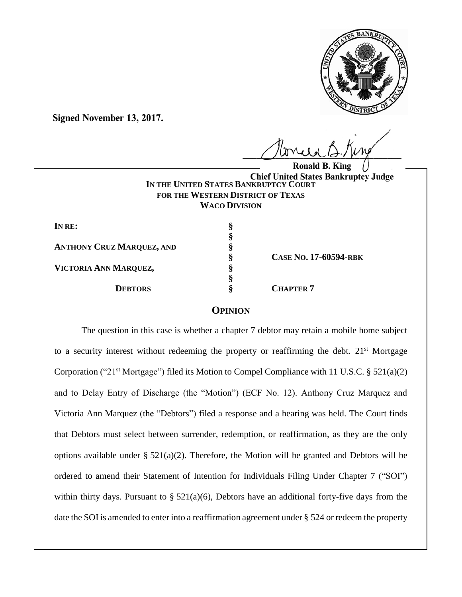

**Signed November 13, 2017.**

 $U^{WVWW}$ 

**IN THE UNITED STATES BANKRUPTCY COURT FOR THE WESTERN DISTRICT OF TEXAS WACO DIVISION Ronald B. King Chief United States Bankruptcy Judge**

| IN RE:                           |  |
|----------------------------------|--|
| <b>ANTHONY CRUZ MARQUEZ, AND</b> |  |
|                                  |  |
| VICTORIA ANN MARQUEZ,            |  |
| <b>DEBTORS</b>                   |  |

**§ CASE NO. 17-60594-RBK**

 $CHAPTER$ <sup>7</sup>

## **OPINION**

The question in this case is whether a chapter 7 debtor may retain a mobile home subject to a security interest without redeeming the property or reaffirming the debt.  $21<sup>st</sup>$  Mortgage Corporation ("21<sup>st</sup> Mortgage") filed its Motion to Compel Compliance with 11 U.S.C. § 521(a)(2) and to Delay Entry of Discharge (the "Motion") (ECF No. 12). Anthony Cruz Marquez and Victoria Ann Marquez (the "Debtors") filed a response and a hearing was held. The Court finds that Debtors must select between surrender, redemption, or reaffirmation, as they are the only options available under  $\S 521(a)(2)$ . Therefore, the Motion will be granted and Debtors will be ordered to amend their Statement of Intention for Individuals Filing Under Chapter 7 ("SOI") within thirty days. Pursuant to  $\S 521(a)(6)$ , Debtors have an additional forty-five days from the date the SOI is amended to enter into a reaffirmation agreement under § 524 or redeem the property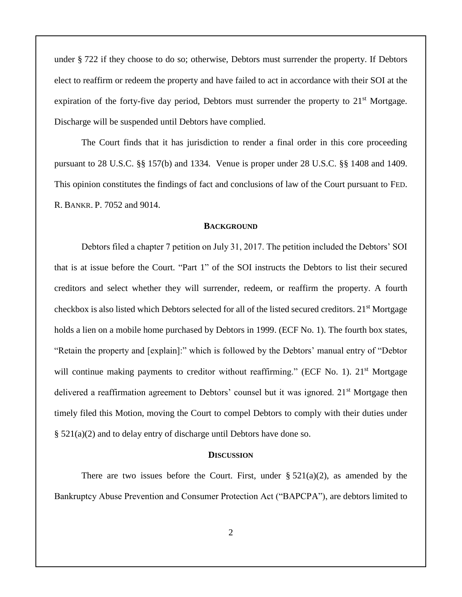under § 722 if they choose to do so; otherwise, Debtors must surrender the property. If Debtors elect to reaffirm or redeem the property and have failed to act in accordance with their SOI at the expiration of the forty-five day period, Debtors must surrender the property to  $21<sup>st</sup>$  Mortgage. Discharge will be suspended until Debtors have complied.

The Court finds that it has jurisdiction to render a final order in this core proceeding pursuant to 28 U.S.C. §§ 157(b) and 1334. Venue is proper under 28 U.S.C. §§ 1408 and 1409. This opinion constitutes the findings of fact and conclusions of law of the Court pursuant to FED. R. BANKR. P. 7052 and 9014.

### **BACKGROUND**

Debtors filed a chapter 7 petition on July 31, 2017. The petition included the Debtors' SOI that is at issue before the Court. "Part 1" of the SOI instructs the Debtors to list their secured creditors and select whether they will surrender, redeem, or reaffirm the property. A fourth checkbox is also listed which Debtors selected for all of the listed secured creditors. 21<sup>st</sup> Mortgage holds a lien on a mobile home purchased by Debtors in 1999. (ECF No. 1). The fourth box states, "Retain the property and [explain]:" which is followed by the Debtors' manual entry of "Debtor will continue making payments to creditor without reaffirming." (ECF No. 1). 21<sup>st</sup> Mortgage delivered a reaffirmation agreement to Debtors' counsel but it was ignored. 21<sup>st</sup> Mortgage then timely filed this Motion, moving the Court to compel Debtors to comply with their duties under § 521(a)(2) and to delay entry of discharge until Debtors have done so.

### **DISCUSSION**

There are two issues before the Court. First, under  $\S 521(a)(2)$ , as amended by the Bankruptcy Abuse Prevention and Consumer Protection Act ("BAPCPA"), are debtors limited to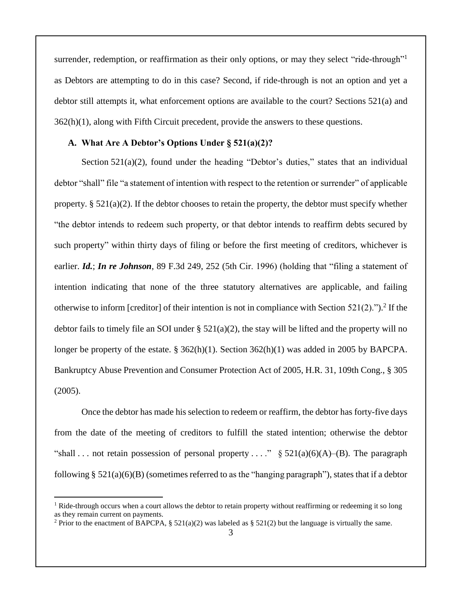surrender, redemption, or reaffirmation as their only options, or may they select "ride-through"<sup>1</sup> as Debtors are attempting to do in this case? Second, if ride-through is not an option and yet a debtor still attempts it, what enforcement options are available to the court? Sections 521(a) and 362(h)(1), along with Fifth Circuit precedent, provide the answers to these questions.

## **A. What Are A Debtor's Options Under § 521(a)(2)?**

Section 521(a)(2), found under the heading "Debtor's duties," states that an individual debtor "shall" file "a statement of intention with respect to the retention or surrender" of applicable property.  $\S 521(a)(2)$ . If the debtor chooses to retain the property, the debtor must specify whether "the debtor intends to redeem such property, or that debtor intends to reaffirm debts secured by such property" within thirty days of filing or before the first meeting of creditors, whichever is earlier. *Id.*; *In re Johnson*, 89 F.3d 249, 252 (5th Cir. 1996) (holding that "filing a statement of intention indicating that none of the three statutory alternatives are applicable, and failing otherwise to inform [creditor] of their intention is not in compliance with Section  $521(2)$ .").<sup>2</sup> If the debtor fails to timely file an SOI under  $\S$  521(a)(2), the stay will be lifted and the property will no longer be property of the estate. § 362(h)(1). Section 362(h)(1) was added in 2005 by BAPCPA. Bankruptcy Abuse Prevention and Consumer Protection Act of 2005, H.R. 31, 109th Cong., § 305  $(2005)$ .

Once the debtor has made his selection to redeem or reaffirm, the debtor has forty-five days from the date of the meeting of creditors to fulfill the stated intention; otherwise the debtor "shall ... not retain possession of personal property ...."  $\S 521(a)(6)(A)$ –(B). The paragraph following  $\S$  521(a)(6)(B) (sometimes referred to as the "hanging paragraph"), states that if a debtor

 $<sup>1</sup>$  Ride-through occurs when a court allows the debtor to retain property without reaffirming or redeeming it so long</sup> as they remain current on payments.

<sup>&</sup>lt;sup>2</sup> Prior to the enactment of BAPCPA, § 521(a)(2) was labeled as § 521(2) but the language is virtually the same.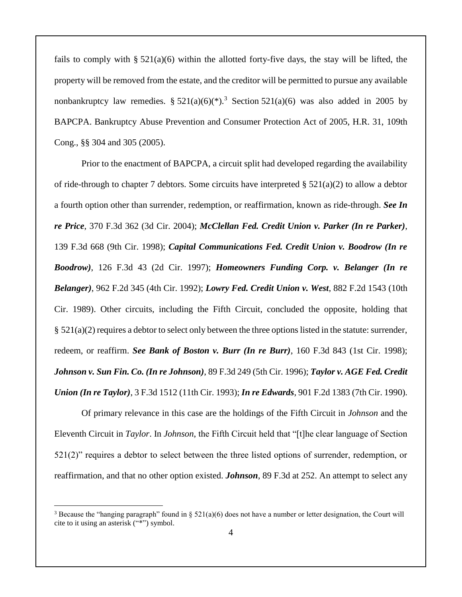fails to comply with  $\S 521(a)(6)$  within the allotted forty-five days, the stay will be lifted, the property will be removed from the estate, and the creditor will be permitted to pursue any available nonbankruptcy law remedies. §  $521(a)(6)(*)$ .<sup>3</sup> Section  $521(a)(6)$  was also added in 2005 by BAPCPA. Bankruptcy Abuse Prevention and Consumer Protection Act of 2005, H.R. 31, 109th Cong., §§ 304 and 305 (2005).

Prior to the enactment of BAPCPA, a circuit split had developed regarding the availability of ride-through to chapter 7 debtors. Some circuits have interpreted  $\S 521(a)(2)$  to allow a debtor a fourth option other than surrender, redemption, or reaffirmation, known as ride-through. *See In re Price*, 370 F.3d 362 (3d Cir. 2004); *McClellan Fed. Credit Union v. Parker (In re Parker)*, 139 F.3d 668 (9th Cir. 1998); *Capital Communications Fed. Credit Union v. Boodrow (In re Boodrow)*, 126 F.3d 43 (2d Cir. 1997); *Homeowners Funding Corp. v. Belanger (In re Belanger)*, 962 F.2d 345 (4th Cir. 1992); *Lowry Fed. Credit Union v. West*, 882 F.2d 1543 (10th Cir. 1989). Other circuits, including the Fifth Circuit, concluded the opposite, holding that § 521(a)(2) requires a debtor to select only between the three options listed in the statute: surrender, redeem, or reaffirm. *See Bank of Boston v. Burr (In re Burr)*, 160 F.3d 843 (1st Cir. 1998); *Johnson v. Sun Fin. Co. (In re Johnson)*, 89 F.3d 249 (5th Cir. 1996); *Taylor v. AGE Fed. Credit Union (In re Taylor)*, 3 F.3d 1512 (11th Cir. 1993); *In re Edwards*, 901 F.2d 1383 (7th Cir. 1990).

Of primary relevance in this case are the holdings of the Fifth Circuit in *Johnson* and the Eleventh Circuit in *Taylor*. In *Johnson*, the Fifth Circuit held that "[t]he clear language of Section 521(2)" requires a debtor to select between the three listed options of surrender, redemption, or reaffirmation, and that no other option existed. *Johnson*, 89 F.3d at 252. An attempt to select any

<sup>&</sup>lt;sup>3</sup> Because the "hanging paragraph" found in § 521(a)(6) does not have a number or letter designation, the Court will cite to it using an asterisk ("\*") symbol.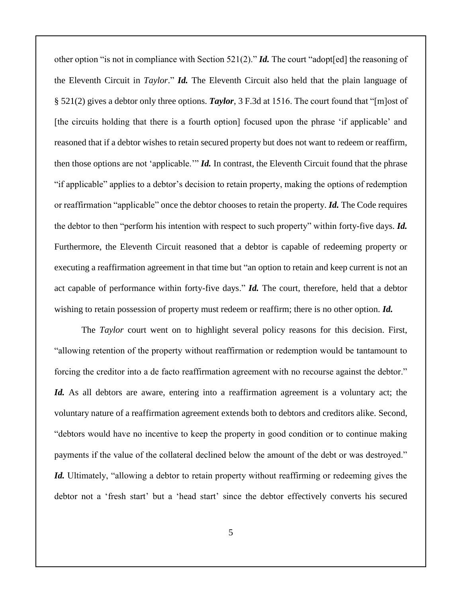other option "is not in compliance with Section 521(2)." *Id.* The court "adopt[ed] the reasoning of the Eleventh Circuit in *Taylor*." *Id.* The Eleventh Circuit also held that the plain language of § 521(2) gives a debtor only three options. *Taylor*, 3 F.3d at 1516. The court found that "[m]ost of [the circuits holding that there is a fourth option] focused upon the phrase 'if applicable' and reasoned that if a debtor wishes to retain secured property but does not want to redeem or reaffirm, then those options are not 'applicable.'" *Id.* In contrast, the Eleventh Circuit found that the phrase "if applicable" applies to a debtor's decision to retain property, making the options of redemption or reaffirmation "applicable" once the debtor chooses to retain the property. *Id.* The Code requires the debtor to then "perform his intention with respect to such property" within forty-five days. *Id.* Furthermore, the Eleventh Circuit reasoned that a debtor is capable of redeeming property or executing a reaffirmation agreement in that time but "an option to retain and keep current is not an act capable of performance within forty-five days." *Id.* The court, therefore, held that a debtor wishing to retain possession of property must redeem or reaffirm; there is no other option. *Id.*

The *Taylor* court went on to highlight several policy reasons for this decision. First, "allowing retention of the property without reaffirmation or redemption would be tantamount to forcing the creditor into a de facto reaffirmation agreement with no recourse against the debtor." *Id.* As all debtors are aware, entering into a reaffirmation agreement is a voluntary act; the voluntary nature of a reaffirmation agreement extends both to debtors and creditors alike. Second, "debtors would have no incentive to keep the property in good condition or to continue making payments if the value of the collateral declined below the amount of the debt or was destroyed." *Id.* Ultimately, "allowing a debtor to retain property without reaffirming or redeeming gives the debtor not a 'fresh start' but a 'head start' since the debtor effectively converts his secured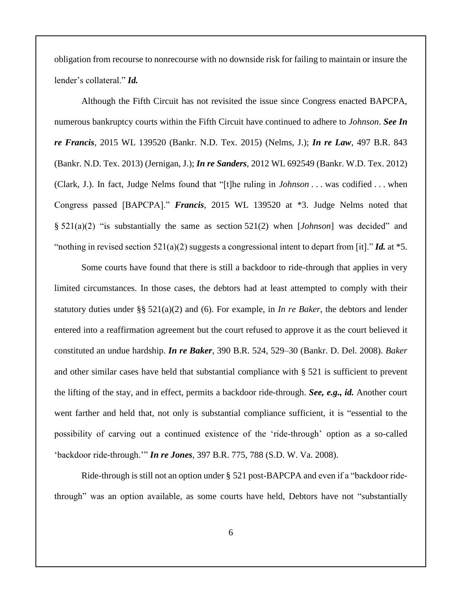obligation from recourse to nonrecourse with no downside risk for failing to maintain or insure the lender's collateral." *Id.*

Although the Fifth Circuit has not revisited the issue since Congress enacted BAPCPA, numerous bankruptcy courts within the Fifth Circuit have continued to adhere to *Johnson*. *See In re Francis*, 2015 WL 139520 (Bankr. N.D. Tex. 2015) (Nelms, J.); *In re Law*, 497 B.R. 843 (Bankr. N.D. Tex. 2013) (Jernigan, J.); *In re Sanders*, 2012 WL 692549 (Bankr. W.D. Tex. 2012) (Clark, J.). In fact, Judge Nelms found that "[t]he ruling in *Johnson* . . . was codified . . . when Congress passed [BAPCPA]." *Francis*, 2015 WL 139520 at \*3. Judge Nelms noted that § 521(a)(2) "is substantially the same as section 521(2) when [*Johnson*] was decided" and "nothing in revised section 521(a)(2) suggests a congressional intent to depart from [it]." *Id.* at \*5.

Some courts have found that there is still a backdoor to ride-through that applies in very limited circumstances. In those cases, the debtors had at least attempted to comply with their statutory duties under §§ 521(a)(2) and (6). For example, in *In re Baker*, the debtors and lender entered into a reaffirmation agreement but the court refused to approve it as the court believed it constituted an undue hardship. *In re Baker*, 390 B.R. 524, 529–30 (Bankr. D. Del. 2008). *Baker* and other similar cases have held that substantial compliance with § 521 is sufficient to prevent the lifting of the stay, and in effect, permits a backdoor ride-through. *See, e.g., id.* Another court went farther and held that, not only is substantial compliance sufficient, it is "essential to the possibility of carving out a continued existence of the 'ride-through' option as a so-called 'backdoor ride-through.'" *In re Jones*, 397 B.R. 775, 788 (S.D. W. Va. 2008).

Ride-through is still not an option under § 521 post-BAPCPA and even if a "backdoor ridethrough" was an option available, as some courts have held, Debtors have not "substantially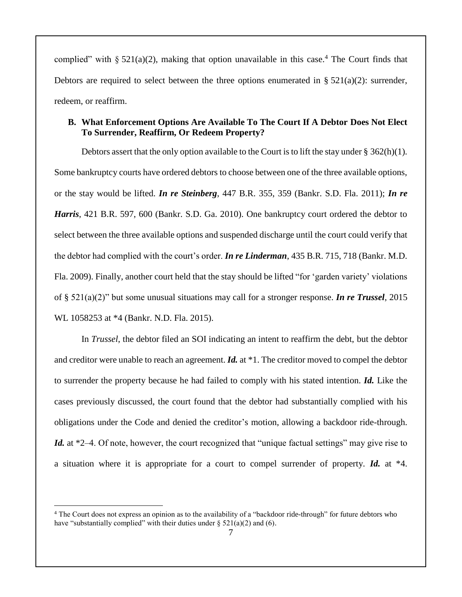complied" with  $\S 521(a)(2)$ , making that option unavailable in this case.<sup>4</sup> The Court finds that Debtors are required to select between the three options enumerated in §  $521(a)(2)$ : surrender, redeem, or reaffirm.

# **B. What Enforcement Options Are Available To The Court If A Debtor Does Not Elect To Surrender, Reaffirm, Or Redeem Property?**

Debtors assert that the only option available to the Court is to lift the stay under  $\S 362(h)(1)$ . Some bankruptcy courts have ordered debtors to choose between one of the three available options, or the stay would be lifted. *In re Steinberg*, 447 B.R. 355, 359 (Bankr. S.D. Fla. 2011); *In re Harris*, 421 B.R. 597, 600 (Bankr. S.D. Ga. 2010). One bankruptcy court ordered the debtor to select between the three available options and suspended discharge until the court could verify that the debtor had complied with the court's order. *In re Linderman*, 435 B.R. 715, 718 (Bankr. M.D. Fla. 2009). Finally, another court held that the stay should be lifted "for 'garden variety' violations of § 521(a)(2)" but some unusual situations may call for a stronger response. *In re Trussel*, 2015 WL 1058253 at \*4 (Bankr. N.D. Fla. 2015).

In *Trussel*, the debtor filed an SOI indicating an intent to reaffirm the debt, but the debtor and creditor were unable to reach an agreement. *Id.* at \*1. The creditor moved to compel the debtor to surrender the property because he had failed to comply with his stated intention. *Id.* Like the cases previously discussed, the court found that the debtor had substantially complied with his obligations under the Code and denied the creditor's motion, allowing a backdoor ride-through. *Id.* at \*2–4. Of note, however, the court recognized that "unique factual settings" may give rise to a situation where it is appropriate for a court to compel surrender of property. *Id.* at \*4.

<sup>&</sup>lt;sup>4</sup> The Court does not express an opinion as to the availability of a "backdoor ride-through" for future debtors who have "substantially complied" with their duties under  $\S$  521(a)(2) and (6).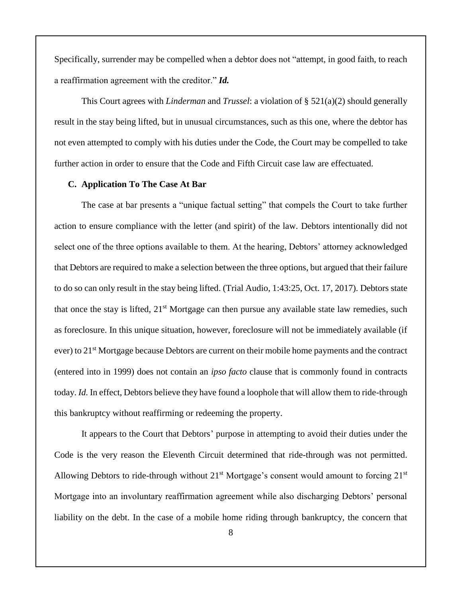Specifically, surrender may be compelled when a debtor does not "attempt, in good faith, to reach a reaffirmation agreement with the creditor." *Id.*

This Court agrees with *Linderman* and *Trussel*: a violation of § 521(a)(2) should generally result in the stay being lifted, but in unusual circumstances, such as this one, where the debtor has not even attempted to comply with his duties under the Code, the Court may be compelled to take further action in order to ensure that the Code and Fifth Circuit case law are effectuated.

#### **C. Application To The Case At Bar**

The case at bar presents a "unique factual setting" that compels the Court to take further action to ensure compliance with the letter (and spirit) of the law. Debtors intentionally did not select one of the three options available to them. At the hearing, Debtors' attorney acknowledged that Debtors are required to make a selection between the three options, but argued that their failure to do so can only result in the stay being lifted. (Trial Audio, 1:43:25, Oct. 17, 2017). Debtors state that once the stay is lifted,  $21<sup>st</sup>$  Mortgage can then pursue any available state law remedies, such as foreclosure. In this unique situation, however, foreclosure will not be immediately available (if ever) to 21<sup>st</sup> Mortgage because Debtors are current on their mobile home payments and the contract (entered into in 1999) does not contain an *ipso facto* clause that is commonly found in contracts today. *Id.* In effect, Debtors believe they have found a loophole that will allow them to ride-through this bankruptcy without reaffirming or redeeming the property.

It appears to the Court that Debtors' purpose in attempting to avoid their duties under the Code is the very reason the Eleventh Circuit determined that ride-through was not permitted. Allowing Debtors to ride-through without  $21<sup>st</sup>$  Mortgage's consent would amount to forcing  $21<sup>st</sup>$ Mortgage into an involuntary reaffirmation agreement while also discharging Debtors' personal liability on the debt. In the case of a mobile home riding through bankruptcy, the concern that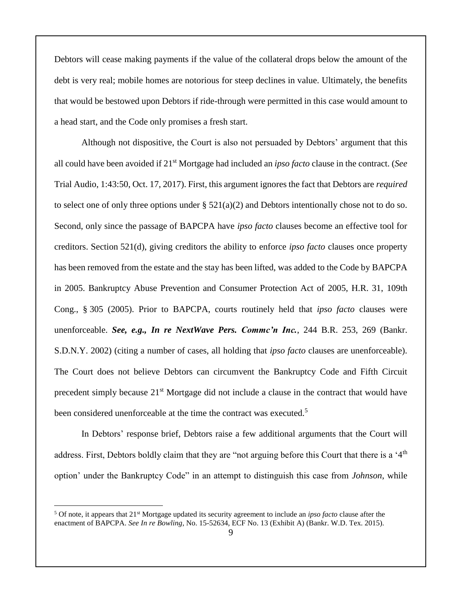Debtors will cease making payments if the value of the collateral drops below the amount of the debt is very real; mobile homes are notorious for steep declines in value. Ultimately, the benefits that would be bestowed upon Debtors if ride-through were permitted in this case would amount to a head start, and the Code only promises a fresh start.

Although not dispositive, the Court is also not persuaded by Debtors' argument that this all could have been avoided if 21st Mortgage had included an *ipso facto* clause in the contract. (*See* Trial Audio, 1:43:50, Oct. 17, 2017). First, this argument ignores the fact that Debtors are *required* to select one of only three options under  $\S$  521(a)(2) and Debtors intentionally chose not to do so. Second, only since the passage of BAPCPA have *ipso facto* clauses become an effective tool for creditors. Section 521(d), giving creditors the ability to enforce *ipso facto* clauses once property has been removed from the estate and the stay has been lifted, was added to the Code by BAPCPA in 2005. Bankruptcy Abuse Prevention and Consumer Protection Act of 2005, H.R. 31, 109th Cong., § 305 (2005). Prior to BAPCPA, courts routinely held that *ipso facto* clauses were unenforceable. *See, e.g., In re NextWave Pers. Commc'n Inc.*, 244 B.R. 253, 269 (Bankr. S.D.N.Y. 2002) (citing a number of cases, all holding that *ipso facto* clauses are unenforceable). The Court does not believe Debtors can circumvent the Bankruptcy Code and Fifth Circuit precedent simply because 21<sup>st</sup> Mortgage did not include a clause in the contract that would have been considered unenforceable at the time the contract was executed.<sup>5</sup>

In Debtors' response brief, Debtors raise a few additional arguments that the Court will address. First, Debtors boldly claim that they are "not arguing before this Court that there is a '4th option' under the Bankruptcy Code" in an attempt to distinguish this case from *Johnson*, while

<sup>5</sup> Of note, it appears that 21st Mortgage updated its security agreement to include an *ipso facto* clause after the enactment of BAPCPA. *See In re Bowling*, No. 15-52634, ECF No. 13 (Exhibit A) (Bankr. W.D. Tex. 2015).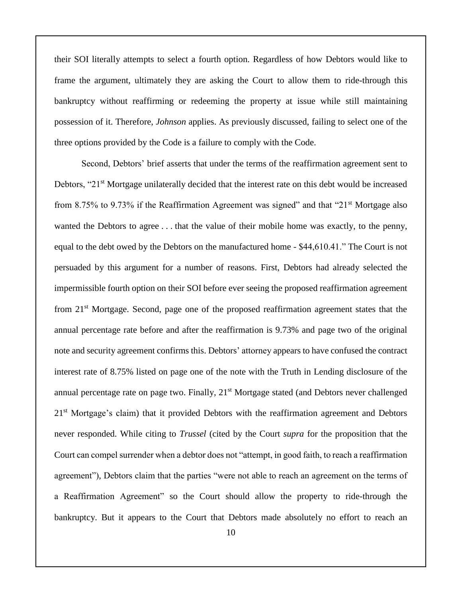their SOI literally attempts to select a fourth option. Regardless of how Debtors would like to frame the argument, ultimately they are asking the Court to allow them to ride-through this bankruptcy without reaffirming or redeeming the property at issue while still maintaining possession of it. Therefore, *Johnson* applies. As previously discussed, failing to select one of the three options provided by the Code is a failure to comply with the Code.

Second, Debtors' brief asserts that under the terms of the reaffirmation agreement sent to Debtors, "21<sup>st</sup> Mortgage unilaterally decided that the interest rate on this debt would be increased from 8.75% to 9.73% if the Reaffirmation Agreement was signed" and that "21 $\mathrm{st}$  Mortgage also wanted the Debtors to agree . . . that the value of their mobile home was exactly, to the penny, equal to the debt owed by the Debtors on the manufactured home - \$44,610.41." The Court is not persuaded by this argument for a number of reasons. First, Debtors had already selected the impermissible fourth option on their SOI before ever seeing the proposed reaffirmation agreement from 21st Mortgage. Second, page one of the proposed reaffirmation agreement states that the annual percentage rate before and after the reaffirmation is 9.73% and page two of the original note and security agreement confirms this. Debtors' attorney appears to have confused the contract interest rate of 8.75% listed on page one of the note with the Truth in Lending disclosure of the annual percentage rate on page two. Finally,  $21<sup>st</sup>$  Mortgage stated (and Debtors never challenged 21<sup>st</sup> Mortgage's claim) that it provided Debtors with the reaffirmation agreement and Debtors never responded. While citing to *Trussel* (cited by the Court *supra* for the proposition that the Court can compel surrender when a debtor does not "attempt, in good faith, to reach a reaffirmation agreement"), Debtors claim that the parties "were not able to reach an agreement on the terms of a Reaffirmation Agreement" so the Court should allow the property to ride-through the bankruptcy. But it appears to the Court that Debtors made absolutely no effort to reach an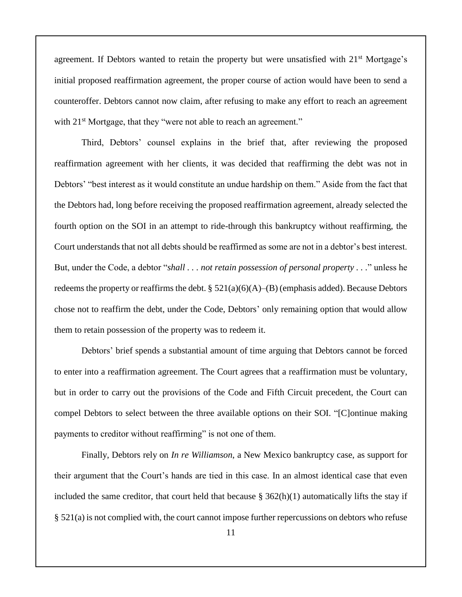agreement. If Debtors wanted to retain the property but were unsatisfied with 21<sup>st</sup> Mortgage's initial proposed reaffirmation agreement, the proper course of action would have been to send a counteroffer. Debtors cannot now claim, after refusing to make any effort to reach an agreement with 21<sup>st</sup> Mortgage, that they "were not able to reach an agreement."

Third, Debtors' counsel explains in the brief that, after reviewing the proposed reaffirmation agreement with her clients, it was decided that reaffirming the debt was not in Debtors' "best interest as it would constitute an undue hardship on them." Aside from the fact that the Debtors had, long before receiving the proposed reaffirmation agreement, already selected the fourth option on the SOI in an attempt to ride-through this bankruptcy without reaffirming, the Court understands that not all debts should be reaffirmed as some are not in a debtor's best interest. But, under the Code, a debtor "*shall . . . not retain possession of personal property . . .*" unless he redeems the property or reaffirms the debt.  $\S 521(a)(6)(A)$ –(B) (emphasis added). Because Debtors chose not to reaffirm the debt, under the Code, Debtors' only remaining option that would allow them to retain possession of the property was to redeem it.

Debtors' brief spends a substantial amount of time arguing that Debtors cannot be forced to enter into a reaffirmation agreement. The Court agrees that a reaffirmation must be voluntary, but in order to carry out the provisions of the Code and Fifth Circuit precedent, the Court can compel Debtors to select between the three available options on their SOI. "[C]ontinue making payments to creditor without reaffirming" is not one of them.

Finally, Debtors rely on *In re Williamson*, a New Mexico bankruptcy case, as support for their argument that the Court's hands are tied in this case. In an almost identical case that even included the same creditor, that court held that because  $\S 362(h)(1)$  automatically lifts the stay if § 521(a) is not complied with, the court cannot impose further repercussions on debtors who refuse